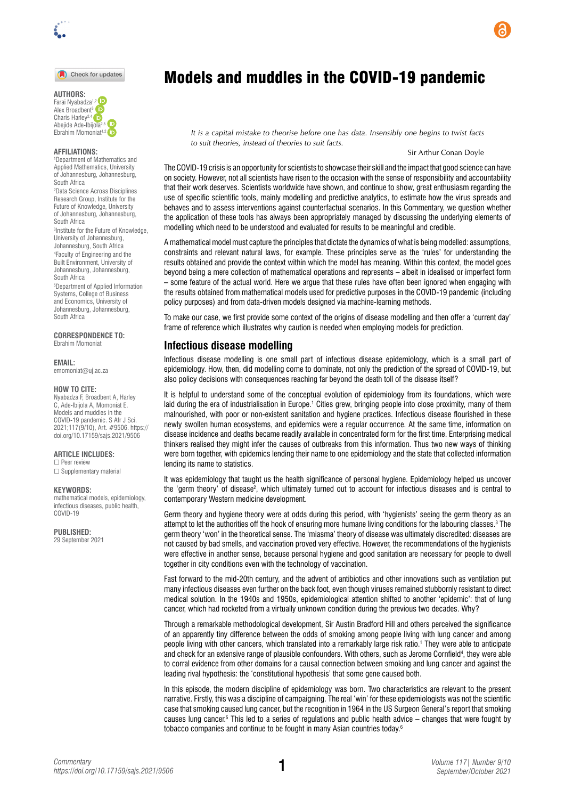

### Check for updates

**AUTHORS:**  Farai Nyabadza<sup>[1,](https://orcid.org/0000-0001-5120-6584)2</sup> Alex Broadbent<sup>3</sup> Charis Harley2,4 Abejide Ade-Ibijola<sup>2,5</sup> Ebrahim Momoniat<sup>1,2</sup> iD

### **AFFILIATIONS:**

1 Department of Mathematics and Applied Mathematics, University of Johannesburg, Johannesburg, South Africa

2 Data Science Across Disciplines Research Group, Institute for the Future of Knowledge, University of Johannesburg, Johannesburg, South Africa

3 Institute for the Future of Knowledge, University of Johannesburg, Johannesburg, South Africa 4 Faculty of Engineering and the

Built Environment, University of Johannesburg, Johannesburg, South Africa

5 Department of Applied Information Systems, College of Business and Economics, University of Johannesburg, Johannesburg, South Africa

**CORRESPONDENCE TO:**  Ebrahim Momoniat

#### **EMAIL:**

[emomoniat@uj.ac.za](mailto:emomoniat@uj.ac.za)

#### **HOW TO CITE:**

Nyabadza F, Broadbent A, Harley C, Ade-Ibijola A, Momoniat E. Models and muddles in the COVID-19 pandemic. S Afr J Sci. 2021;117(9/10), Art. #9506. [https://](https://doi.org/10.17159/sajs.2021/9506) [doi.org/10.17159/sajs.2021/9506](https://doi.org/10.17159/sajs.2021/9506)

## **ARTICLE INCLUDES:**

☐ Peer review □ Supplementary material

## **KEYWORDS:**

mathematical models, epidemiology, infectious diseases, public health, COVID-19

**PUBLISHED:**  29 September 2021

# Models and muddles in the COVID-19 pandemic

*It is a capital mistake to theorise before one has data. Insensibly one begins to twist facts to suit theories, instead of theories to suit facts.*

## Sir Arthur Conan Doyle

The COVID-19 crisis is an opportunity for scientists to showcase their skill and the impact that good science can have on society. However, not all scientists have risen to the occasion with the sense of responsibility and accountability that their work deserves. Scientists worldwide have shown, and continue to show, great enthusiasm regarding the use of specific scientific tools, mainly modelling and predictive analytics, to estimate how the virus spreads and behaves and to assess interventions against counterfactual scenarios. In this Commentary, we question whether the application of these tools has always been appropriately managed by discussing the underlying elements of modelling which need to be understood and evaluated for results to be meaningful and credible.

A mathematical model must capture the principles that dictate the dynamics of what is being modelled: assumptions, constraints and relevant natural laws, for example. These principles serve as the 'rules' for understanding the results obtained and provide the context within which the model has meaning. Within this context, the model goes beyond being a mere collection of mathematical operations and represents – albeit in idealised or imperfect form – some feature of the actual world. Here we argue that these rules have often been ignored when engaging with the results obtained from mathematical models used for predictive purposes in the COVID-19 pandemic (including policy purposes) and from data-driven models designed via machine-learning methods.

To make our case, we first provide some context of the origins of disease modelling and then offer a 'current day' frame of reference which illustrates why caution is needed when employing models for prediction.

## **Infectious disease modelling**

Infectious disease modelling is one small part of infectious disease epidemiology, which is a small part of epidemiology. How, then, did modelling come to dominate, not only the prediction of the spread of COVID-19, but also policy decisions with consequences reaching far beyond the death toll of the disease itself?

It is helpful to understand some of the conceptual evolution of epidemiology from its foundations, which were laid during the era of industrialisation in Europe.<sup>1</sup> Cities grew, bringing people into close proximity, many of them malnourished, with poor or non-existent sanitation and hygiene practices. Infectious disease flourished in these newly swollen human ecosystems, and epidemics were a regular occurrence. At the same time, information on disease incidence and deaths became readily available in concentrated form for the first time. Enterprising medical thinkers realised they might infer the causes of outbreaks from this information. Thus two new ways of thinking were born together, with epidemics lending their name to one epidemiology and the state that collected information lending its name to statistics.

It was epidemiology that taught us the health significance of personal hygiene. Epidemiology helped us uncover the 'germ theory' of disease<sup>2</sup>, which ultimately turned out to account for infectious diseases and is central to contemporary Western medicine development.

Germ theory and hygiene theory were at odds during this period, with 'hygienists' seeing the germ theory as an attempt to let the authorities off the hook of ensuring more humane living conditions for the labouring classes.<sup>3</sup> The germ theory 'won' in the theoretical sense. The 'miasma' theory of disease was ultimately discredited: diseases are not caused by bad smells, and vaccination proved very effective. However, the recommendations of the hygienists were effective in another sense, because personal hygiene and good sanitation are necessary for people to dwell together in city conditions even with the technology of vaccination.

Fast forward to the mid-20th century, and the advent of antibiotics and other innovations such as ventilation put many infectious diseases even further on the back foot, even though viruses remained stubbornly resistant to direct medical solution. In the 1940s and 1950s, epidemiological attention shifted to another 'epidemic': that of lung cancer, which had rocketed from a virtually unknown condition during the previous two decades. Why?

Through a remarkable methodological development, Sir Austin Bradford Hill and others perceived the significance of an apparently tiny difference between the odds of smoking among people living with lung cancer and among people living with other cancers, which translated into a remarkably large risk ratio.<sup>1</sup> They were able to anticipate and check for an extensive range of plausible confounders. With others, such as Jerome Cornfield<sup>4</sup> , they were able to corral evidence from other domains for a causal connection between smoking and lung cancer and against the leading rival hypothesis: the 'constitutional hypothesis' that some gene caused both.

In this episode, the modern discipline of epidemiology was born. Two characteristics are relevant to the present narrative. Firstly, this was a discipline of campaigning. The real 'win' for these epidemiologists was not the scientific case that smoking caused lung cancer, but the recognition in 1964 in the US Surgeon General's report that smoking causes lung cancer.<sup>5</sup> This led to a series of regulations and public health advice – changes that were fought by tobacco companies and continue to be fought in many Asian countries today.6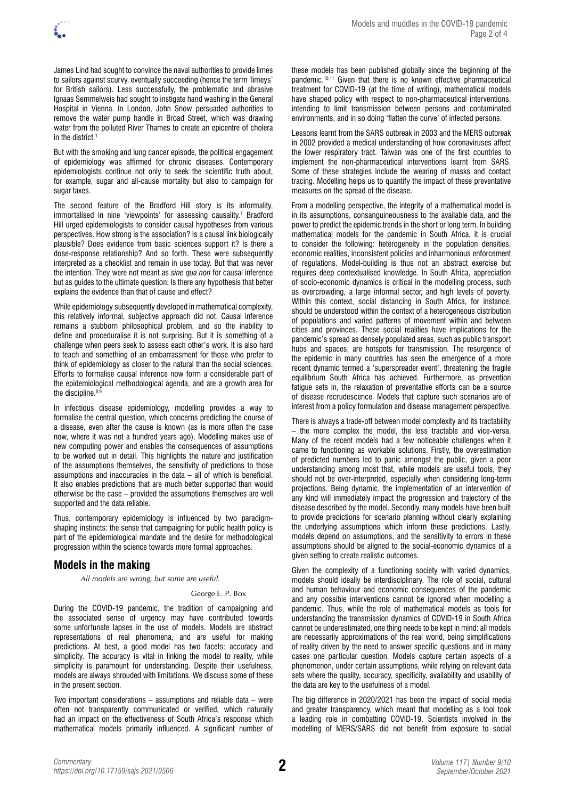

James Lind had sought to convince the naval authorities to provide limes to sailors against scurvy, eventually succeeding (hence the term 'limeys' for British sailors). Less successfully, the problematic and abrasive Ignaas Semmelweis had sought to instigate hand washing in the General Hospital in Vienna. In London, John Snow persuaded authorities to remove the water pump handle in Broad Street, which was drawing water from the polluted River Thames to create an epicentre of cholera in the district. $1$ 

But with the smoking and lung cancer episode, the political engagement of epidemiology was affirmed for chronic diseases. Contemporary epidemiologists continue not only to seek the scientific truth about, for example, sugar and all-cause mortality but also to campaign for sugar taxes.

The second feature of the Bradford Hill story is its informality, immortalised in nine 'viewpoints' for assessing causality.7 Bradford Hill urged epidemiologists to consider causal hypotheses from various perspectives. How strong is the association? Is a causal link biologically plausible? Does evidence from basic sciences support it? Is there a dose-response relationship? And so forth. These were subsequently interpreted as a checklist and remain in use today. But that was never the intention. They were not meant as *sine qua non* for causal inference but as guides to the ultimate question: Is there any hypothesis that better explains the evidence than that of cause and effect?

While epidemiology subsequently developed in mathematical complexity, this relatively informal, subjective approach did not. Causal inference remains a stubborn philosophical problem, and so the inability to define and proceduralise it is not surprising. But it is something of a challenge when peers seek to assess each other's work. It is also hard to teach and something of an embarrassment for those who prefer to think of epidemiology as closer to the natural than the social sciences. Efforts to formalise causal inference now form a considerable part of the epidemiological methodological agenda, and are a growth area for the discipline.<sup>8,9</sup>

In infectious disease epidemiology, modelling provides a way to formalise the central question, which concerns predicting the course of a disease, even after the cause is known (as is more often the case now, where it was not a hundred years ago). Modelling makes use of new computing power and enables the consequences of assumptions to be worked out in detail. This highlights the nature and justification of the assumptions themselves, the sensitivity of predictions to those assumptions and inaccuracies in the data – all of which is beneficial. It also enables predictions that are much better supported than would otherwise be the case – provided the assumptions themselves are well supported and the data reliable.

Thus, contemporary epidemiology is influenced by two paradigmshaping instincts: the sense that campaigning for public health policy is part of the epidemiological mandate and the desire for methodological progression within the science towards more formal approaches.

# **Models in the making**

*All models are wrong, but some are useful.*

## George E. P. Box

During the COVID-19 pandemic, the tradition of campaigning and the associated sense of urgency may have contributed towards some unfortunate lapses in the use of models. Models are abstract representations of real phenomena, and are useful for making predictions. At best, a good model has two facets: accuracy and simplicity. The accuracy is vital in linking the model to reality, while simplicity is paramount for understanding. Despite their usefulness, models are always shrouded with limitations. We discuss some of these in the present section.

Two important considerations – assumptions and reliable data – were often not transparently communicated or verified, which naturally had an impact on the effectiveness of South Africa's response which mathematical models primarily influenced. A significant number of

these models has been published globally since the beginning of the pandemic.10,11 Given that there is no known effective pharmaceutical treatment for COVID-19 (at the time of writing), mathematical models have shaped policy with respect to non-pharmaceutical interventions, intending to limit transmission between persons and contaminated environments, and in so doing 'flatten the curve' of infected persons.

Lessons learnt from the SARS outbreak in 2003 and the MERS outbreak in 2002 provided a medical understanding of how coronaviruses affect the lower respiratory tract. Taiwan was one of the first countries to implement the non-pharmaceutical interventions learnt from SARS. Some of these strategies include the wearing of masks and contact tracing. Modelling helps us to quantify the impact of these preventative measures on the spread of the disease.

From a modelling perspective, the integrity of a mathematical model is in its assumptions, consanguineousness to the available data, and the power to predict the epidemic trends in the short or long term. In building mathematical models for the pandemic in South Africa, it is crucial to consider the following: heterogeneity in the population densities, economic realities, inconsistent policies and inharmonious enforcement of regulations. Model-building is thus not an abstract exercise but requires deep contextualised knowledge. In South Africa, appreciation of socio-economic dynamics is critical in the modelling process, such as overcrowding, a large informal sector, and high levels of poverty. Within this context, social distancing in South Africa, for instance, should be understood within the context of a heterogeneous distribution of populations and varied patterns of movement within and between cities and provinces. These social realities have implications for the pandemic's spread as densely populated areas, such as public transport hubs and spaces, are hotspots for transmission. The resurgence of the epidemic in many countries has seen the emergence of a more recent dynamic termed a 'superspreader event', threatening the fragile equilibrium South Africa has achieved. Furthermore, as prevention fatigue sets in, the relaxation of preventative efforts can be a source of disease recrudescence. Models that capture such scenarios are of interest from a policy formulation and disease management perspective.

There is always a trade-off between model complexity and its tractability – the more complex the model, the less tractable and vice-versa. Many of the recent models had a few noticeable challenges when it came to functioning as workable solutions. Firstly, the overestimation of predicted numbers led to panic amongst the public, given a poor understanding among most that, while models are useful tools, they should not be over-interpreted, especially when considering long-term projections. Being dynamic, the implementation of an intervention of any kind will immediately impact the progression and trajectory of the disease described by the model. Secondly, many models have been built to provide predictions for scenario planning without clearly explaining the underlying assumptions which inform these predictions. Lastly, models depend on assumptions, and the sensitivity to errors in these assumptions should be aligned to the social-economic dynamics of a given setting to create realistic outcomes.

Given the complexity of a functioning society with varied dynamics, models should ideally be interdisciplinary. The role of social, cultural and human behaviour and economic consequences of the pandemic and any possible interventions cannot be ignored when modelling a pandemic. Thus, while the role of mathematical models as tools for understanding the transmission dynamics of COVID-19 in South Africa cannot be underestimated, one thing needs to be kept in mind: all models are necessarily approximations of the real world, being simplifications of reality driven by the need to answer specific questions and in many cases one particular question. Models capture certain aspects of a phenomenon, under certain assumptions, while relying on relevant data sets where the quality, accuracy, specificity, availability and usability of the data are key to the usefulness of a model.

The big difference in 2020/2021 has been the impact of social media and greater transparency, which meant that modelling as a tool took a leading role in combatting COVID-19. Scientists involved in the modelling of MERS/SARS did not benefit from exposure to social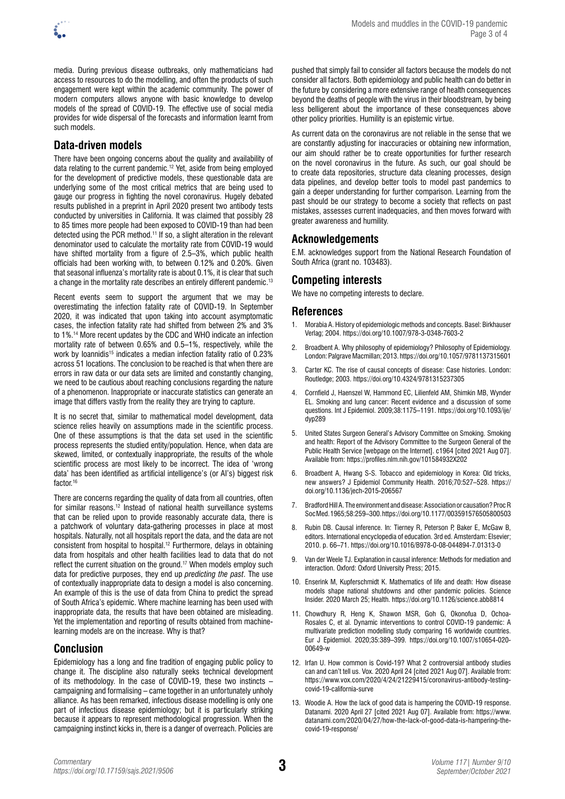

media. During previous disease outbreaks, only mathematicians had access to resources to do the modelling, and often the products of such engagement were kept within the academic community. The power of modern computers allows anyone with basic knowledge to develop models of the spread of COVID-19. The effective use of social media provides for wide dispersal of the forecasts and information learnt from such models.

# **Data-driven models**

There have been ongoing concerns about the quality and availability of data relating to the current pandemic.12 Yet, aside from being employed for the development of predictive models, these questionable data are underlying some of the most critical metrics that are being used to gauge our progress in fighting the novel coronavirus. Hugely debated results published in a preprint in April 2020 present two antibody tests conducted by universities in California. It was claimed that possibly 28 to 85 times more people had been exposed to COVID-19 than had been detected using the PCR method.11 If so, a slight alteration in the relevant denominator used to calculate the mortality rate from COVID-19 would have shifted mortality from a figure of 2.5–3%, which public health officials had been working with, to between 0.12% and 0.20%. Given that seasonal influenza's mortality rate is about 0.1%, it is clear that such a change in the mortality rate describes an entirely different pandemic.<sup>13</sup>

Recent events seem to support the argument that we may be overestimating the infection fatality rate of COVID-19. In September 2020, it was indicated that upon taking into account asymptomatic cases, the infection fatality rate had shifted from between 2% and 3% to 1%.14 More recent updates by the CDC and WHO indicate an infection mortality rate of between 0.65% and 0.5–1%, respectively, while the work by Ioannidis<sup>15</sup> indicates a median infection fatality ratio of 0.23% across 51 locations. The conclusion to be reached is that when there are errors in raw data or our data sets are limited and constantly changing, we need to be cautious about reaching conclusions regarding the nature of a phenomenon. Inappropriate or inaccurate statistics can generate an image that differs vastly from the reality they are trying to capture.

It is no secret that, similar to mathematical model development, data science relies heavily on assumptions made in the scientific process. One of these assumptions is that the data set used in the scientific process represents the studied entity/population. Hence, when data are skewed, limited, or contextually inappropriate, the results of the whole scientific process are most likely to be incorrect. The idea of 'wrong data' has been identified as artificial intelligence's (or AI's) biggest risk factor.<sup>16</sup>

There are concerns regarding the quality of data from all countries, often for similar reasons.12 Instead of national health surveillance systems that can be relied upon to provide reasonably accurate data, there is a patchwork of voluntary data-gathering processes in place at most hospitals. Naturally, not all hospitals report the data, and the data are not consistent from hospital to hospital.12 Furthermore, delays in obtaining data from hospitals and other health facilities lead to data that do not reflect the current situation on the ground.<sup>17</sup> When models employ such data for predictive purposes, they end up *predicting the past*. The use of contextually inappropriate data to design a model is also concerning. An example of this is the use of data from China to predict the spread of South Africa's epidemic. Where machine learning has been used with inappropriate data, the results that have been obtained are misleading. Yet the implementation and reporting of results obtained from machinelearning models are on the increase. Why is that?

# **Conclusion**

Epidemiology has a long and fine tradition of engaging public policy to change it. The discipline also naturally seeks technical development of its methodology. In the case of COVID-19, these two instincts – campaigning and formalising – came together in an unfortunately unholy alliance. As has been remarked, infectious disease modelling is only one part of infectious disease epidemiology; but it is particularly striking because it appears to represent methodological progression. When the campaigning instinct kicks in, there is a danger of overreach. Policies are

pushed that simply fail to consider all factors because the models do not consider all factors. Both epidemiology and public health can do better in the future by considering a more extensive range of health consequences beyond the deaths of people with the virus in their bloodstream, by being less belligerent about the importance of these consequences above other policy priorities. Humility is an epistemic virtue.

As current data on the coronavirus are not reliable in the sense that we are constantly adjusting for inaccuracies or obtaining new information, our aim should rather be to create opportunities for further research on the novel coronavirus in the future. As such, our goal should be to create data repositories, structure data cleaning processes, design data pipelines, and develop better tools to model past pandemics to gain a deeper understanding for further comparison. Learning from the past should be our strategy to become a society that reflects on past mistakes, assesses current inadequacies, and then moves forward with greater awareness and humility.

# **Acknowledgements**

E.M. acknowledges support from the National Research Foundation of South Africa (grant no. 103483).

# **Competing interests**

We have no competing interests to declare.

# **References**

- 1. Morabia A. History of epidemiologic methods and concepts. Basel: Birkhauser Verlag; 2004.<https://doi.org/10.1007/978-3-0348-7603-2>
- 2. Broadbent A. Why philosophy of epidemiology? Philosophy of Epidemiology. London: Palgrave Macmillan; 2013.<https://doi.org/10.1057/9781137315601>
- 3. Carter KC. The rise of causal concepts of disease: Case histories. London: Routledge; 2003.<https://doi.org/10.4324/9781315237305>
- 4. Cornfield J, Haenszel W, Hammond EC, Lilienfeld AM, Shimkin MB, Wynder EL. Smoking and lung cancer: Recent evidence and a discussion of some questions. Int J Epidemiol. 2009;38:1175–1191. [https://doi.org/10.1093/ije/](https://doi.org/10.1093/ije/dyp289) [dyp289](https://doi.org/10.1093/ije/dyp289)
- 5. United States Surgeon General's Advisory Committee on Smoking. Smoking and health: Report of the Advisory Committee to the Surgeon General of the Public Health Service [webpage on the Internet]. c1964 [cited 2021 Aug 07]. Available from: <https://profiles.nlm.nih.gov/101584932X202>
- 6. Broadbent A, Hwang S-S. Tobacco and epidemiology in Korea: Old tricks, new answers? J Epidemiol Community Health. 2016;70:527–528. [https://](https://doi.org/10.1136/jech-2015-206567) [doi.org/10.1136/jech-2015-206567](https://doi.org/10.1136/jech-2015-206567)
- 7. Bradford Hill A. The environment and disease: Association or causation? Proc R Soc Med. 1965;58:259–300.<https://doi.org/10.1177/003591576505800503>
- 8. Rubin DB. Causal inference. In: Tierney R, Peterson P, Baker E, McGaw B, editors. International encyclopedia of education. 3rd ed. Amsterdam: Elsevier; 2010. p. 66–71. <https://doi.org/10.1016/B978-0-08-044894-7.01313-0>
- 9. Van der Weele TJ. Explanation in causal inference: Methods for mediation and interaction. Oxford: Oxford University Press; 2015.
- 10. Enserink M, Kupferschmidt K. Mathematics of life and death: How disease models shape national shutdowns and other pandemic policies. Science Insider. 2020 March 25; Health.<https://doi.org/10.1126/science.abb8814>
- 11. Chowdhury R, Heng K, Shawon MSR, Goh G, Okonofua D, Ochoa-Rosales C, et al. Dynamic interventions to control COVID-19 pandemic: A multivariate prediction modelling study comparing 16 worldwide countries. Eur J Epidemiol. 2020;35:389–399. [https://doi.org/10.1007/s10654-020-](https://doi.org/10.1007/s10654-020-00649-w) [00649-w](https://doi.org/10.1007/s10654-020-00649-w)
- 12. Irfan U. How common is Covid-19? What 2 controversial antibody studies can and can't tell us. Vox. 2020 April 24 [cited 2021 Aug 07]. Available from: [https://www.vox.com/2020/4/24/21229415/coronavirus-antibody-testing](https://www.vox.com/2020/4/24/21229415/coronavirus-antibody-testing-covid-19-california-surve)[covid-19-california-surve](https://www.vox.com/2020/4/24/21229415/coronavirus-antibody-testing-covid-19-california-surve)
- 13. Woodie A. How the lack of good data is hampering the COVID-19 response. Datanami. 2020 April 27 [cited 2021 Aug 07]. Available from: [https://www.](https://www.datanami.com/2020/04/27/how-the-lack-of-good-data-is-hampering-the-covid-19-response/) [datanami.com/2020/04/27/how-the-lack-of-good-data-is-hampering-the](https://www.datanami.com/2020/04/27/how-the-lack-of-good-data-is-hampering-the-covid-19-response/)[covid-19-response/](https://www.datanami.com/2020/04/27/how-the-lack-of-good-data-is-hampering-the-covid-19-response/)